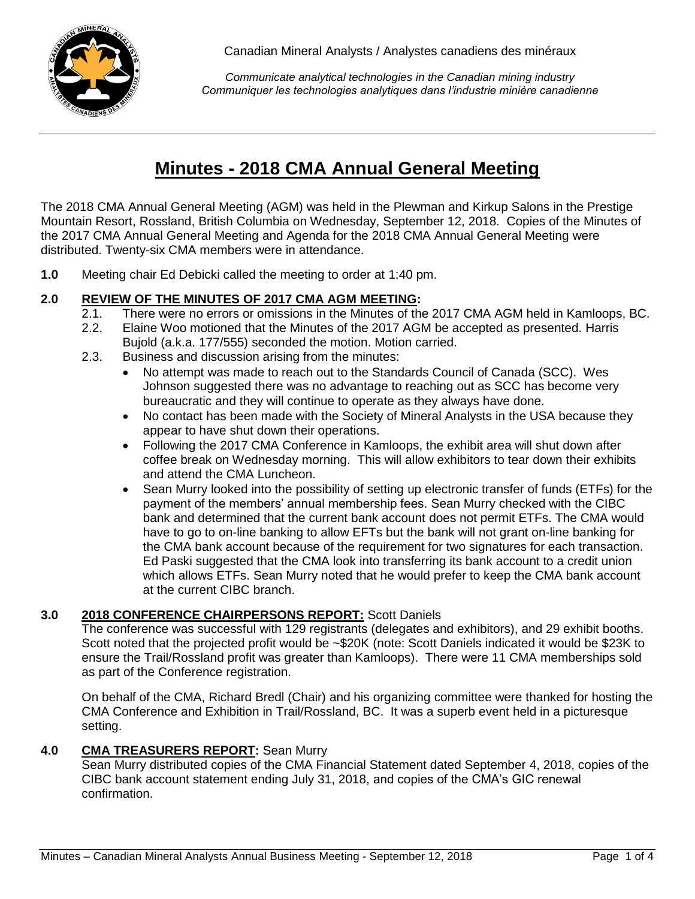

*Communicate analytical technologies in the Canadian mining industry Communiquer les technologies analytiques dans l'industrie minière canadienne*

# **Minutes - 2018 CMA Annual General Meeting**

The 2018 CMA Annual General Meeting (AGM) was held in the Plewman and Kirkup Salons in the Prestige Mountain Resort, Rossland, British Columbia on Wednesday, September 12, 2018. Copies of the Minutes of the 2017 CMA Annual General Meeting and Agenda for the 2018 CMA Annual General Meeting were distributed. Twenty-six CMA members were in attendance.

**1.0** Meeting chair Ed Debicki called the meeting to order at 1:40 pm.

# **2.0 REVIEW OF THE MINUTES OF 2017 CMA AGM MEETING:**

- 2.1. There were no errors or omissions in the Minutes of the 2017 CMA AGM held in Kamloops, BC.
- 2.2. Elaine Woo motioned that the Minutes of the 2017 AGM be accepted as presented. Harris Bujold (a.k.a. 177/555) seconded the motion. Motion carried.
- 2.3. Business and discussion arising from the minutes:
	- No attempt was made to reach out to the Standards Council of Canada (SCC). Wes Johnson suggested there was no advantage to reaching out as SCC has become very bureaucratic and they will continue to operate as they always have done.
	- No contact has been made with the Society of Mineral Analysts in the USA because they appear to have shut down their operations.
	- Following the 2017 CMA Conference in Kamloops, the exhibit area will shut down after coffee break on Wednesday morning. This will allow exhibitors to tear down their exhibits and attend the CMA Luncheon.
	- Sean Murry looked into the possibility of setting up electronic transfer of funds (ETFs) for the payment of the members' annual membership fees. Sean Murry checked with the CIBC bank and determined that the current bank account does not permit ETFs. The CMA would have to go to on-line banking to allow EFTs but the bank will not grant on-line banking for the CMA bank account because of the requirement for two signatures for each transaction. Ed Paski suggested that the CMA look into transferring its bank account to a credit union which allows ETFs. Sean Murry noted that he would prefer to keep the CMA bank account at the current CIBC branch.

## **3.0 2018 CONFERENCE CHAIRPERSONS REPORT:** Scott Daniels

The conference was successful with 129 registrants (delegates and exhibitors), and 29 exhibit booths. Scott noted that the projected profit would be ~\$20K (note: Scott Daniels indicated it would be \$23K to ensure the Trail/Rossland profit was greater than Kamloops). There were 11 CMA memberships sold as part of the Conference registration.

On behalf of the CMA, Richard Bredl (Chair) and his organizing committee were thanked for hosting the CMA Conference and Exhibition in Trail/Rossland, BC. It was a superb event held in a picturesque setting.

## **4.0 CMA TREASURERS REPORT:** Sean Murry

Sean Murry distributed copies of the CMA Financial Statement dated September 4, 2018, copies of the CIBC bank account statement ending July 31, 2018, and copies of the CMA's GIC renewal confirmation.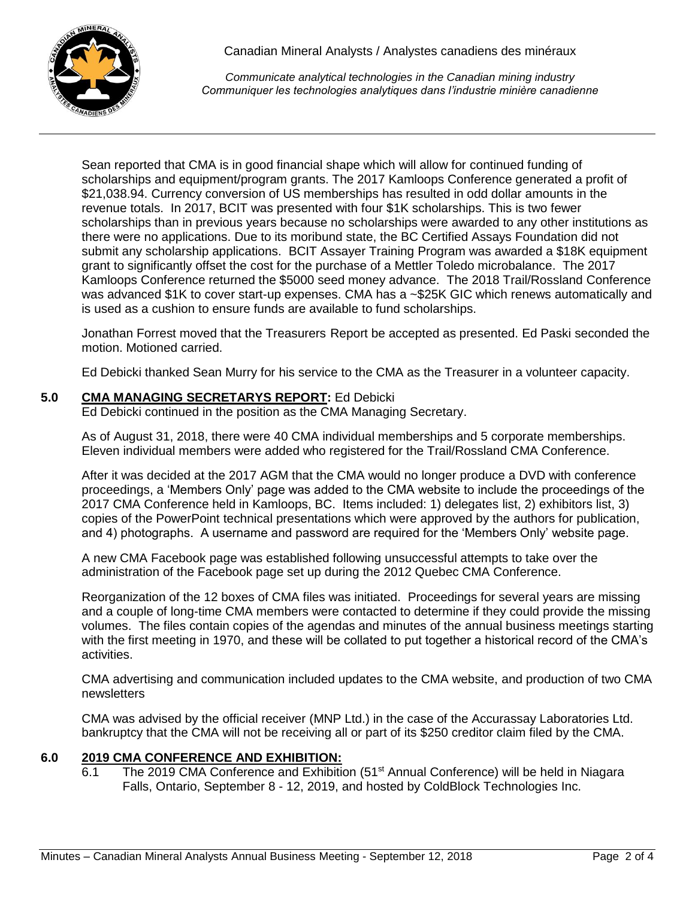

*Communicate analytical technologies in the Canadian mining industry Communiquer les technologies analytiques dans l'industrie minière canadienne*

Sean reported that CMA is in good financial shape which will allow for continued funding of scholarships and equipment/program grants. The 2017 Kamloops Conference generated a profit of \$21,038.94. Currency conversion of US memberships has resulted in odd dollar amounts in the revenue totals. In 2017, BCIT was presented with four \$1K scholarships. This is two fewer scholarships than in previous years because no scholarships were awarded to any other institutions as there were no applications. Due to its moribund state, the BC Certified Assays Foundation did not submit any scholarship applications. BCIT Assayer Training Program was awarded a \$18K equipment grant to significantly offset the cost for the purchase of a Mettler Toledo microbalance. The 2017 Kamloops Conference returned the \$5000 seed money advance. The 2018 Trail/Rossland Conference was advanced \$1K to cover start-up expenses. CMA has a ~\$25K GIC which renews automatically and is used as a cushion to ensure funds are available to fund scholarships.

Jonathan Forrest moved that the Treasurers Report be accepted as presented. Ed Paski seconded the motion. Motioned carried.

Ed Debicki thanked Sean Murry for his service to the CMA as the Treasurer in a volunteer capacity.

## **5.0 CMA MANAGING SECRETARYS REPORT:** Ed Debicki

Ed Debicki continued in the position as the CMA Managing Secretary.

As of August 31, 2018, there were 40 CMA individual memberships and 5 corporate memberships. Eleven individual members were added who registered for the Trail/Rossland CMA Conference.

After it was decided at the 2017 AGM that the CMA would no longer produce a DVD with conference proceedings, a 'Members Only' page was added to the CMA website to include the proceedings of the 2017 CMA Conference held in Kamloops, BC. Items included: 1) delegates list, 2) exhibitors list, 3) copies of the PowerPoint technical presentations which were approved by the authors for publication, and 4) photographs. A username and password are required for the 'Members Only' website page.

A new CMA Facebook page was established following unsuccessful attempts to take over the administration of the Facebook page set up during the 2012 Quebec CMA Conference.

Reorganization of the 12 boxes of CMA files was initiated. Proceedings for several years are missing and a couple of long-time CMA members were contacted to determine if they could provide the missing volumes. The files contain copies of the agendas and minutes of the annual business meetings starting with the first meeting in 1970, and these will be collated to put together a historical record of the CMA's activities.

CMA advertising and communication included updates to the CMA website, and production of two CMA newsletters

CMA was advised by the official receiver (MNP Ltd.) in the case of the Accurassay Laboratories Ltd. bankruptcy that the CMA will not be receiving all or part of its \$250 creditor claim filed by the CMA.

## **6.0 2019 CMA CONFERENCE AND EXHIBITION:**

6.1 The 2019 CMA Conference and Exhibition (51<sup>st</sup> Annual Conference) will be held in Niagara Falls, Ontario, September 8 - 12, 2019, and hosted by ColdBlock Technologies Inc.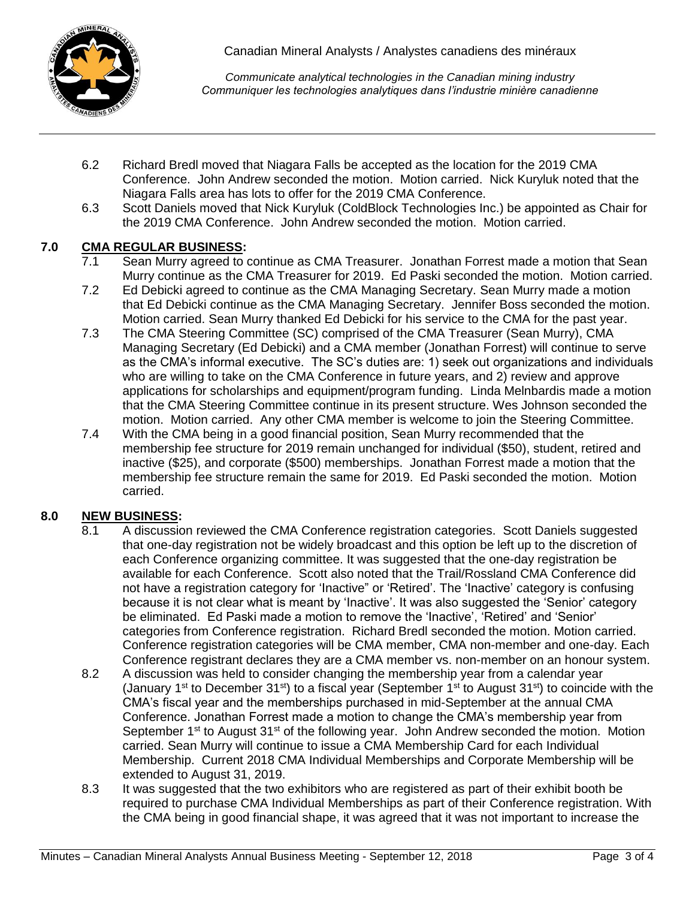

*Communicate analytical technologies in the Canadian mining industry Communiquer les technologies analytiques dans l'industrie minière canadienne*

- 6.2 Richard Bredl moved that Niagara Falls be accepted as the location for the 2019 CMA Conference. John Andrew seconded the motion. Motion carried. Nick Kuryluk noted that the Niagara Falls area has lots to offer for the 2019 CMA Conference.
- 6.3 Scott Daniels moved that Nick Kuryluk (ColdBlock Technologies Inc.) be appointed as Chair for the 2019 CMA Conference. John Andrew seconded the motion. Motion carried.

## **7.0 CMA REGULAR BUSINESS:**

- 7.1 Sean Murry agreed to continue as CMA Treasurer. Jonathan Forrest made a motion that Sean Murry continue as the CMA Treasurer for 2019. Ed Paski seconded the motion. Motion carried.
- 7.2 Ed Debicki agreed to continue as the CMA Managing Secretary. Sean Murry made a motion that Ed Debicki continue as the CMA Managing Secretary. Jennifer Boss seconded the motion. Motion carried. Sean Murry thanked Ed Debicki for his service to the CMA for the past year.
- 7.3 The CMA Steering Committee (SC) comprised of the CMA Treasurer (Sean Murry), CMA Managing Secretary (Ed Debicki) and a CMA member (Jonathan Forrest) will continue to serve as the CMA's informal executive. The SC's duties are: 1) seek out organizations and individuals who are willing to take on the CMA Conference in future years, and 2) review and approve applications for scholarships and equipment/program funding. Linda Melnbardis made a motion that the CMA Steering Committee continue in its present structure. Wes Johnson seconded the motion. Motion carried. Any other CMA member is welcome to join the Steering Committee.
- 7.4 With the CMA being in a good financial position, Sean Murry recommended that the membership fee structure for 2019 remain unchanged for individual (\$50), student, retired and inactive (\$25), and corporate (\$500) memberships. Jonathan Forrest made a motion that the membership fee structure remain the same for 2019. Ed Paski seconded the motion. Motion carried.

## **8.0 NEW BUSINESS:**

- 8.1 A discussion reviewed the CMA Conference registration categories. Scott Daniels suggested that one-day registration not be widely broadcast and this option be left up to the discretion of each Conference organizing committee. It was suggested that the one-day registration be available for each Conference. Scott also noted that the Trail/Rossland CMA Conference did not have a registration category for 'Inactive" or 'Retired'. The 'Inactive' category is confusing because it is not clear what is meant by 'Inactive'. It was also suggested the 'Senior' category be eliminated. Ed Paski made a motion to remove the 'Inactive', 'Retired' and 'Senior' categories from Conference registration. Richard Bredl seconded the motion. Motion carried. Conference registration categories will be CMA member, CMA non-member and one-day. Each Conference registrant declares they are a CMA member vs. non-member on an honour system.
- 8.2 A discussion was held to consider changing the membership year from a calendar year (January 1<sup>st</sup> to December 31<sup>st</sup>) to a fiscal year (September 1<sup>st</sup> to August 31<sup>st</sup>) to coincide with the CMA's fiscal year and the memberships purchased in mid-September at the annual CMA Conference. Jonathan Forrest made a motion to change the CMA's membership year from September 1<sup>st</sup> to August 31<sup>st</sup> of the following year. John Andrew seconded the motion. Motion carried. Sean Murry will continue to issue a CMA Membership Card for each Individual Membership. Current 2018 CMA Individual Memberships and Corporate Membership will be extended to August 31, 2019.
- 8.3 It was suggested that the two exhibitors who are registered as part of their exhibit booth be required to purchase CMA Individual Memberships as part of their Conference registration. With the CMA being in good financial shape, it was agreed that it was not important to increase the